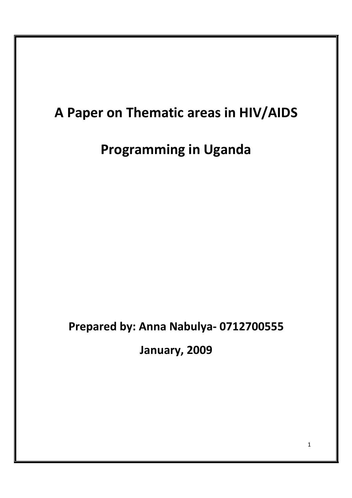# **A Paper on Thematic areas in HIV/AIDS**

# **Programming in Uganda**

## **Prepared by: Anna Nabulya- 0712700555**

**January, 2009**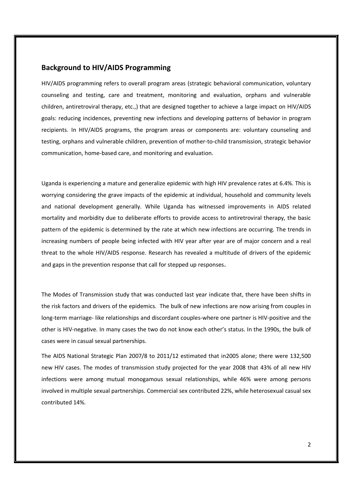## **Background to HIV/AIDS Programming**

HIV/AIDS programming refers to overall program areas (strategic behavioral communication, voluntary counseling and testing, care and treatment, monitoring and evaluation, orphans and vulnerable children, antiretroviral therapy, etc.,) that are designed together to achieve a large impact on HIV/AIDS goals: reducing incidences, preventing new infections and developing patterns of behavior in program recipients. In HIV/AIDS programs, the program areas or components are: voluntary counseling and testing, orphans and vulnerable children, prevention of mother-to-child transmission, strategic behavior communication, home-based care, and monitoring and evaluation.

Uganda is experiencing a mature and generalize epidemic with high HIV prevalence rates at 6.4%. This is worrying considering the grave impacts of the epidemic at individual, household and community levels and national development generally. While Uganda has witnessed improvements in AIDS related mortality and morbidity due to deliberate efforts to provide access to antiretroviral therapy, the basic pattern of the epidemic is determined by the rate at which new infections are occurring. The trends in increasing numbers of people being infected with HIV year after year are of major concern and a real threat to the whole HIV/AIDS response. Research has revealed a multitude of drivers of the epidemic and gaps in the prevention response that call for stepped up responses.

The Modes of Transmission study that was conducted last year indicate that, there have been shifts in the risk factors and drivers of the epidemics. The bulk of new infections are now arising from couples in long-term marriage- like relationships and discordant couples-where one partner is HIV-positive and the other is HIV-negative. In many cases the two do not know each other's status. In the 1990s, the bulk of cases were in casual sexual partnerships.

The AIDS National Strategic Plan 2007/8 to 2011/12 estimated that in2005 alone; there were 132,500 new HIV cases. The modes of transmission study projected for the year 2008 that 43% of all new HIV infections were among mutual monogamous sexual relationships, while 46% were among persons involved in multiple sexual partnerships. Commercial sex contributed 22%, while heterosexual casual sex contributed 14%.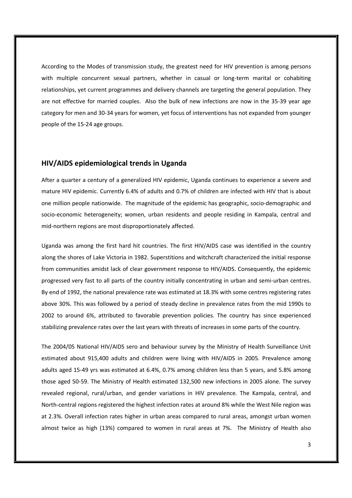According to the Modes of transmission study, the greatest need for HIV prevention is among persons with multiple concurrent sexual partners, whether in casual or long-term marital or cohabiting relationships, yet current programmes and delivery channels are targeting the general population. They are not effective for married couples. Also the bulk of new infections are now in the 35-39 year age category for men and 30-34 years for women, yet focus of interventions has not expanded from younger people of the 15-24 age groups.

## **HIV/AIDS epidemiological trends in Uganda**

After a quarter a century of a generalized HIV epidemic, Uganda continues to experience a severe and mature HIV epidemic. Currently 6.4% of adults and 0.7% of children are infected with HIV that is about one million people nationwide. The magnitude of the epidemic has geographic, socio-demographic and socio-economic heterogeneity; women, urban residents and people residing in Kampala, central and mid-northern regions are most disproportionately affected.

Uganda was among the first hard hit countries. The first HIV/AIDS case was identified in the country along the shores of Lake Victoria in 1982. Superstitions and witchcraft characterized the initial response from communities amidst lack of clear government response to HIV/AIDS. Consequently, the epidemic progressed very fast to all parts of the country initially concentrating in urban and semi-urban centres. By end of 1992, the national prevalence rate was estimated at 18.3% with some centres registering rates above 30%. This was followed by a period of steady decline in prevalence rates from the mid 1990s to 2002 to around 6%, attributed to favorable prevention policies. The country has since experienced stabilizing prevalence rates over the last years with threats of increases in some parts of the country.

The 2004/05 National HIV/AIDS sero and behaviour survey by the Ministry of Health Surveillance Unit estimated about 915,400 adults and children were living with HIV/AIDS in 2005. Prevalence among adults aged 15-49 yrs was estimated at 6.4%, 0.7% among children less than 5 years, and 5.8% among those aged 50-59. The Ministry of Health estimated 132,500 new infections in 2005 alone. The survey revealed regional, rural/urban, and gender variations in HIV prevalence. The Kampala, central, and North-central regions registered the highest infection rates at around 8% while the West Nile region was at 2.3%. Overall infection rates higher in urban areas compared to rural areas, amongst urban women almost twice as high (13%) compared to women in rural areas at 7%. The Ministry of Health also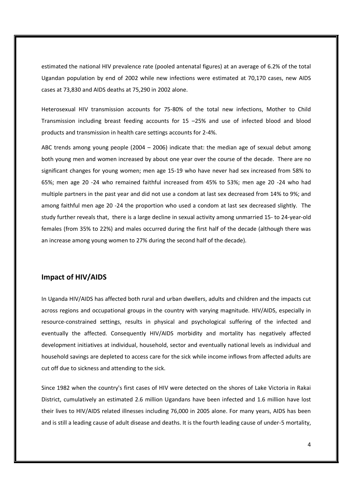estimated the national HIV prevalence rate (pooled antenatal figures) at an average of 6.2% of the total Ugandan population by end of 2002 while new infections were estimated at 70,170 cases, new AIDS cases at 73,830 and AIDS deaths at 75,290 in 2002 alone.

Heterosexual HIV transmission accounts for 75-80% of the total new infections, Mother to Child Transmission including breast feeding accounts for 15 –25% and use of infected blood and blood products and transmission in health care settings accounts for 2-4%.

ABC trends among young people (2004 – 2006) indicate that: the median age of sexual debut among both young men and women increased by about one year over the course of the decade. There are no significant changes for young women; men age 15-19 who have never had sex increased from 58% to 65%; men age 20 -24 who remained faithful increased from 45% to 53%; men age 20 -24 who had multiple partners in the past year and did not use a condom at last sex decreased from 14% to 9%; and among faithful men age 20 -24 the proportion who used a condom at last sex decreased slightly. The study further reveals that, there is a large decline in sexual activity among unmarried 15- to 24-year-old females (from 35% to 22%) and males occurred during the first half of the decade (although there was an increase among young women to 27% during the second half of the decade).

## **Impact of HIV/AIDS**

In Uganda HIV/AIDS has affected both rural and urban dwellers, adults and children and the impacts cut across regions and occupational groups in the country with varying magnitude. HIV/AIDS, especially in resource-constrained settings, results in physical and psychological suffering of the infected and eventually the affected. Consequently HIV/AIDS morbidity and mortality has negatively affected development initiatives at individual, household, sector and eventually national levels as individual and household savings are depleted to access care for the sick while income inflows from affected adults are cut off due to sickness and attending to the sick.

Since 1982 when the country's first cases of HIV were detected on the shores of Lake Victoria in Rakai District, cumulatively an estimated 2.6 million Ugandans have been infected and 1.6 million have lost their lives to HIV/AIDS related illnesses including 76,000 in 2005 alone. For many years, AIDS has been and is still a leading cause of adult disease and deaths. It is the fourth leading cause of under-5 mortality,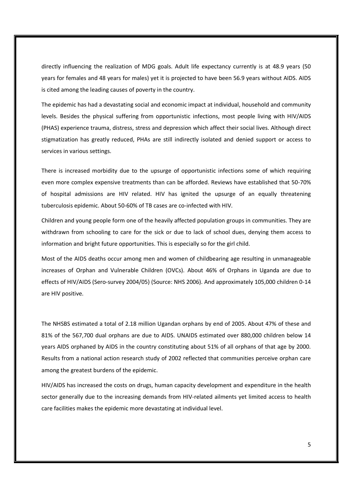directly influencing the realization of MDG goals. Adult life expectancy currently is at 48.9 years (50 years for females and 48 years for males) yet it is projected to have been 56.9 years without AIDS. AIDS is cited among the leading causes of poverty in the country.

The epidemic has had a devastating social and economic impact at individual, household and community levels. Besides the physical suffering from opportunistic infections, most people living with HIV/AIDS (PHAS) experience trauma, distress, stress and depression which affect their social lives. Although direct stigmatization has greatly reduced, PHAs are still indirectly isolated and denied support or access to services in various settings.

There is increased morbidity due to the upsurge of opportunistic infections some of which requiring even more complex expensive treatments than can be afforded. Reviews have established that 50-70% of hospital admissions are HIV related. HIV has ignited the upsurge of an equally threatening tuberculosis epidemic. About 50-60% of TB cases are co-infected with HIV.

Children and young people form one of the heavily affected population groups in communities. They are withdrawn from schooling to care for the sick or due to lack of school dues, denying them access to information and bright future opportunities. This is especially so for the girl child.

Most of the AIDS deaths occur among men and women of childbearing age resulting in unmanageable increases of Orphan and Vulnerable Children (OVCs). About 46% of Orphans in Uganda are due to effects of HIV/AIDS (Sero-survey 2004/05) (Source: NHS 2006). And approximately 105,000 children 0-14 are HIV positive.

The NHSBS estimated a total of 2.18 million Ugandan orphans by end of 2005. About 47% of these and 81% of the 567,700 dual orphans are due to AIDS. UNAIDS estimated over 880,000 children below 14 years AIDS orphaned by AIDS in the country constituting about 51% of all orphans of that age by 2000. Results from a national action research study of 2002 reflected that communities perceive orphan care among the greatest burdens of the epidemic.

HIV/AIDS has increased the costs on drugs, human capacity development and expenditure in the health sector generally due to the increasing demands from HIV-related ailments yet limited access to health care facilities makes the epidemic more devastating at individual level.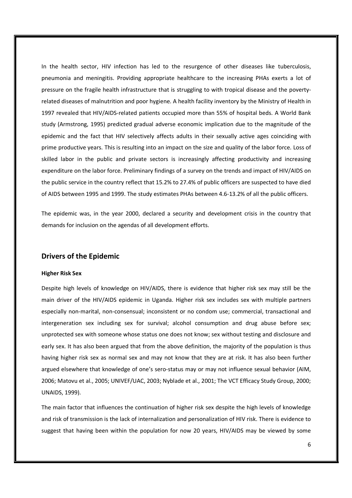In the health sector, HIV infection has led to the resurgence of other diseases like tuberculosis, pneumonia and meningitis. Providing appropriate healthcare to the increasing PHAs exerts a lot of pressure on the fragile health infrastructure that is struggling to with tropical disease and the povertyrelated diseases of malnutrition and poor hygiene. A health facility inventory by the Ministry of Health in 1997 revealed that HIV/AIDS-related patients occupied more than 55% of hospital beds. A World Bank study (Armstrong, 1995) predicted gradual adverse economic implication due to the magnitude of the epidemic and the fact that HIV selectively affects adults in their sexually active ages coinciding with prime productive years. This is resulting into an impact on the size and quality of the labor force. Loss of skilled labor in the public and private sectors is increasingly affecting productivity and increasing expenditure on the labor force. Preliminary findings of a survey on the trends and impact of HIV/AIDS on the public service in the country reflect that 15.2% to 27.4% of public officers are suspected to have died of AIDS between 1995 and 1999. The study estimates PHAs between 4.6-13.2% of all the public officers.

The epidemic was, in the year 2000, declared a security and development crisis in the country that demands for inclusion on the agendas of all development efforts.

### **Drivers of the Epidemic**

#### **Higher Risk Sex**

Despite high levels of knowledge on HIV/AIDS, there is evidence that higher risk sex may still be the main driver of the HIV/AIDS epidemic in Uganda. Higher risk sex includes sex with multiple partners especially non-marital, non-consensual; inconsistent or no condom use; commercial, transactional and intergeneration sex including sex for survival; alcohol consumption and drug abuse before sex; unprotected sex with someone whose status one does not know; sex without testing and disclosure and early sex. It has also been argued that from the above definition, the majority of the population is thus having higher risk sex as normal sex and may not know that they are at risk. It has also been further argued elsewhere that knowledge of one's sero-status may or may not influence sexual behavior (AIM, 2006; Matovu et al., 2005; UNIVEF/UAC, 2003; Nyblade et al., 2001; The VCT Efficacy Study Group, 2000; UNAIDS, 1999).

The main factor that influences the continuation of higher risk sex despite the high levels of knowledge and risk of transmission is the lack of internalization and personalization of HIV risk. There is evidence to suggest that having been within the population for now 20 years, HIV/AIDS may be viewed by some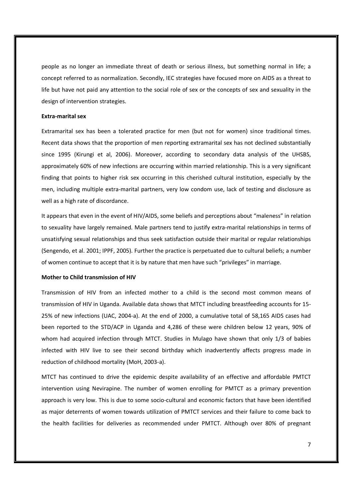people as no longer an immediate threat of death or serious illness, but something normal in life; a concept referred to as normalization. Secondly, IEC strategies have focused more on AIDS as a threat to life but have not paid any attention to the social role of sex or the concepts of sex and sexuality in the design of intervention strategies.

#### **Extra-marital sex**

Extramarital sex has been a tolerated practice for men (but not for women) since traditional times. Recent data shows that the proportion of men reporting extramarital sex has not declined substantially since 1995 (Kirungi et al, 2006). Moreover, according to secondary data analysis of the UHSBS, approximately 60% of new infections are occurring within married relationship. This is a very significant finding that points to higher risk sex occurring in this cherished cultural institution, especially by the men, including multiple extra-marital partners, very low condom use, lack of testing and disclosure as well as a high rate of discordance.

It appears that even in the event of HIV/AIDS, some beliefs and perceptions about "maleness" in relation to sexuality have largely remained. Male partners tend to justify extra-marital relationships in terms of unsatisfying sexual relationships and thus seek satisfaction outside their marital or regular relationships (Sengendo, et al. 2001; IPPF, 2005). Further the practice is perpetuated due to cultural beliefs; a number of women continue to accept that it is by nature that men have such "privileges" in marriage.

#### **Mother to Child transmission of HIV**

Transmission of HIV from an infected mother to a child is the second most common means of transmission of HIV in Uganda. Available data shows that MTCT including breastfeeding accounts for 15- 25% of new infections (UAC, 2004-a). At the end of 2000, a cumulative total of 58,165 AIDS cases had been reported to the STD/ACP in Uganda and 4,286 of these were children below 12 years, 90% of whom had acquired infection through MTCT. Studies in Mulago have shown that only 1/3 of babies infected with HIV live to see their second birthday which inadvertently affects progress made in reduction of childhood mortality (MoH, 2003-a).

MTCT has continued to drive the epidemic despite availability of an effective and affordable PMTCT intervention using Nevirapine. The number of women enrolling for PMTCT as a primary prevention approach is very low. This is due to some socio-cultural and economic factors that have been identified as major deterrents of women towards utilization of PMTCT services and their failure to come back to the health facilities for deliveries as recommended under PMTCT. Although over 80% of pregnant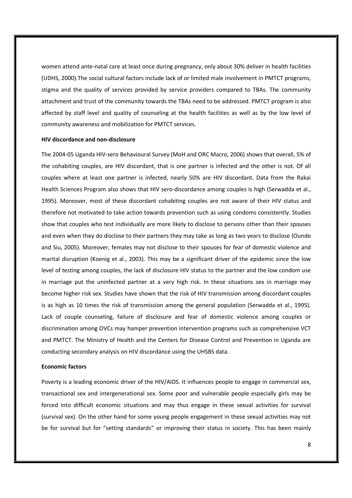women attend ante-natal care at least once during pregnancy, only about 30% deliver in health facilities (UDHS, 2000).The social cultural factors include lack of or limited male involvement in PMTCT programs, stigma and the quality of services provided by service providers compared to TBAs. The community attachment and trust of the community towards the TBAs need to be addressed. PMTCT program is also affected by staff level and quality of counseling at the health facilities as well as by the low level of community awareness and mobilization for PMTCT services.

#### **HIV discordance and non-disclosure**

The 2004-05 Uganda HIV-sero Behavioural Survey (MoH and ORC Macro, 2006) shows that overall, 5% of the cohabiting couples, are HIV discordant, that is one partner is infected and the other is not. Of all couples where at least one partner is infected, nearly 50% are HIV discordant. Data from the Rakai Health Sciences Program also shows that HIV sero-discordance among couples is high (Serwadda et al., 1995). Moreover, most of these discordant cohabiting couples are not aware of their HIV status and therefore not motivated to take action towards prevention such as using condoms consistently. Studies show that couples who test individually are more likely to disclose to persons other than their spouses and even when they do disclose to their partners they may take as long as two years to disclose (Oundo and Siu, 2005). Moreover, females may not disclose to their spouses for fear of domestic violence and marital disruption (Koenig et al., 2003). This may be a significant driver of the epidemic since the low level of testing among couples, the lack of disclosure HIV status to the partner and the low condom use in marriage put the uninfected partner at a very high risk. In these situations sex in marriage may become higher risk sex. Studies have shown that the risk of HIV transmission among discordant couples is as high as 10 times the risk of transmission among the general population (Serwadda et al., 1995). Lack of couple counseling, failure of disclosure and fear of domestic violence among couples or discrimination among OVCs may hamper prevention intervention programs such as comprehensive VCT and PMTCT. The Ministry of Health and the Centers for Disease Control and Prevention in Uganda are conducting secondary analysis on HIV discordance using the UHSBS data.

#### **Economic factors**

Poverty is a leading economic driver of the HIV/AIDS. It influences people to engage in commercial sex, transactional sex and intergenerational sex. Some poor and vulnerable people especially girls may be forced into difficult economic situations and may thus engage in these sexual activities for survival (survival sex). On the other hand for some young people engagement in these sexual activities may not be for survival but for "setting standards" or improving their status in society. This has been mainly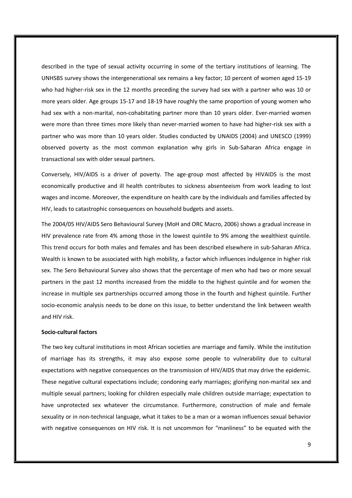described in the type of sexual activity occurring in some of the tertiary institutions of learning. The UNHSBS survey shows the intergenerational sex remains a key factor; 10 percent of women aged 15-19 who had higher-risk sex in the 12 months preceding the survey had sex with a partner who was 10 or more years older. Age groups 15-17 and 18-19 have roughly the same proportion of young women who had sex with a non-marital, non-cohabitating partner more than 10 years older. Ever-married women were more than three times more likely than never-married women to have had higher-risk sex with a partner who was more than 10 years older. Studies conducted by UNAIDS (2004) and UNESCO (1999) observed poverty as the most common explanation why girls in Sub-Saharan Africa engage in transactional sex with older sexual partners.

Conversely, HIV/AIDS is a driver of poverty. The age-group most affected by HIVAIDS is the most economically productive and ill health contributes to sickness absenteeism from work leading to lost wages and income. Moreover, the expenditure on health care by the individuals and families affected by HIV, leads to catastrophic consequences on household budgets and assets.

The 2004/05 HIV/AIDS Sero Behavioural Survey (MoH and ORC Macro, 2006) shows a gradual increase in HIV prevalence rate from 4% among those in the lowest quintile to 9% among the wealthiest quintile. This trend occurs for both males and females and has been described elsewhere in sub-Saharan Africa. Wealth is known to be associated with high mobility, a factor which influences indulgence in higher risk sex. The Sero Behavioural Survey also shows that the percentage of men who had two or more sexual partners in the past 12 months increased from the middle to the highest quintile and for women the increase in multiple sex partnerships occurred among those in the fourth and highest quintile. Further socio-economic analysis needs to be done on this issue, to better understand the link between wealth and HIV risk.

#### **Socio-cultural factors**

The two key cultural institutions in most African societies are marriage and family. While the institution of marriage has its strengths, it may also expose some people to vulnerability due to cultural expectations with negative consequences on the transmission of HIV/AIDS that may drive the epidemic. These negative cultural expectations include; condoning early marriages; glorifying non-marital sex and multiple sexual partners; looking for children especially male children outside marriage; expectation to have unprotected sex whatever the circumstance. Furthermore, construction of male and female sexuality or in non-technical language, what it takes to be a man or a woman influences sexual behavior with negative consequences on HIV risk. It is not uncommon for "manliness" to be equated with the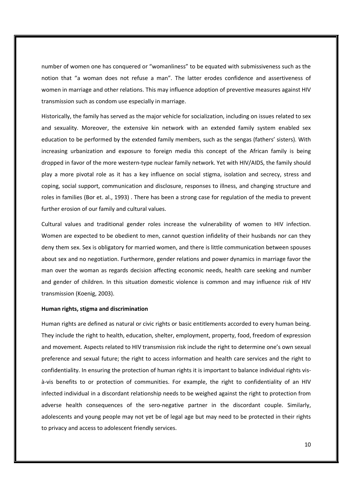number of women one has conquered or "womanliness" to be equated with submissiveness such as the notion that "a woman does not refuse a man". The latter erodes confidence and assertiveness of women in marriage and other relations. This may influence adoption of preventive measures against HIV transmission such as condom use especially in marriage.

Historically, the family has served as the major vehicle for socialization, including on issues related to sex and sexuality. Moreover, the extensive kin network with an extended family system enabled sex education to be performed by the extended family members, such as the sengas (fathers' sisters). With increasing urbanization and exposure to foreign media this concept of the African family is being dropped in favor of the more western-type nuclear family network. Yet with HIV/AIDS, the family should play a more pivotal role as it has a key influence on social stigma, isolation and secrecy, stress and coping, social support, communication and disclosure, responses to illness, and changing structure and roles in families (Bor et. al., 1993) . There has been a strong case for regulation of the media to prevent further erosion of our family and cultural values.

Cultural values and traditional gender roles increase the vulnerability of women to HIV infection. Women are expected to be obedient to men, cannot question infidelity of their husbands nor can they deny them sex. Sex is obligatory for married women, and there is little communication between spouses about sex and no negotiation. Furthermore, gender relations and power dynamics in marriage favor the man over the woman as regards decision affecting economic needs, health care seeking and number and gender of children. In this situation domestic violence is common and may influence risk of HIV transmission (Koenig, 2003).

#### **Human rights, stigma and discrimination**

Human rights are defined as natural or civic rights or basic entitlements accorded to every human being. They include the right to health, education, shelter, employment, property, food, freedom of expression and movement. Aspects related to HIV transmission risk include the right to determine one's own sexual preference and sexual future; the right to access information and health care services and the right to confidentiality. In ensuring the protection of human rights it is important to balance individual rights visà-vis benefits to or protection of communities. For example, the right to confidentiality of an HIV infected individual in a discordant relationship needs to be weighed against the right to protection from adverse health consequences of the sero-negative partner in the discordant couple. Similarly, adolescents and young people may not yet be of legal age but may need to be protected in their rights to privacy and access to adolescent friendly services.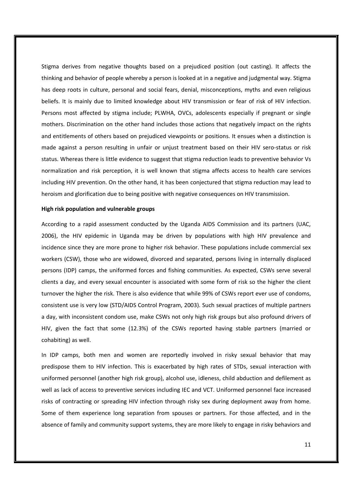Stigma derives from negative thoughts based on a prejudiced position (out casting). It affects the thinking and behavior of people whereby a person is looked at in a negative and judgmental way. Stigma has deep roots in culture, personal and social fears, denial, misconceptions, myths and even religious beliefs. It is mainly due to limited knowledge about HIV transmission or fear of risk of HIV infection. Persons most affected by stigma include; PLWHA, OVCs, adolescents especially if pregnant or single mothers. Discrimination on the other hand includes those actions that negatively impact on the rights and entitlements of others based on prejudiced viewpoints or positions. It ensues when a distinction is made against a person resulting in unfair or unjust treatment based on their HIV sero-status or risk status. Whereas there is little evidence to suggest that stigma reduction leads to preventive behavior Vs normalization and risk perception, it is well known that stigma affects access to health care services including HIV prevention. On the other hand, it has been conjectured that stigma reduction may lead to heroism and glorification due to being positive with negative consequences on HIV transmission.

#### **High risk population and vulnerable groups**

According to a rapid assessment conducted by the Uganda AIDS Commission and its partners (UAC, 2006), the HIV epidemic in Uganda may be driven by populations with high HIV prevalence and incidence since they are more prone to higher risk behavior. These populations include commercial sex workers (CSW), those who are widowed, divorced and separated, persons living in internally displaced persons (IDP) camps, the uniformed forces and fishing communities. As expected, CSWs serve several clients a day, and every sexual encounter is associated with some form of risk so the higher the client turnover the higher the risk. There is also evidence that while 99% of CSWs report ever use of condoms, consistent use is very low (STD/AIDS Control Program, 2003). Such sexual practices of multiple partners a day, with inconsistent condom use, make CSWs not only high risk groups but also profound drivers of HIV, given the fact that some (12.3%) of the CSWs reported having stable partners (married or cohabiting) as well.

In IDP camps, both men and women are reportedly involved in risky sexual behavior that may predispose them to HIV infection. This is exacerbated by high rates of STDs, sexual interaction with uniformed personnel (another high risk group), alcohol use, idleness, child abduction and defilement as well as lack of access to preventive services including IEC and VCT. Uniformed personnel face increased risks of contracting or spreading HIV infection through risky sex during deployment away from home. Some of them experience long separation from spouses or partners. For those affected, and in the absence of family and community support systems, they are more likely to engage in risky behaviors and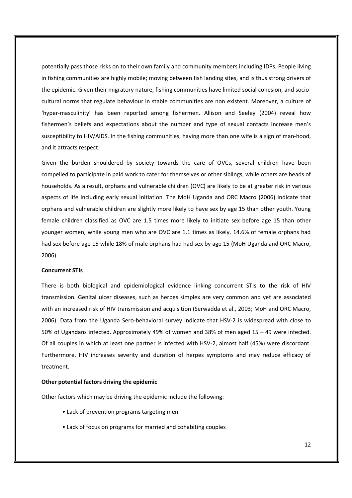potentially pass those risks on to their own family and community members including IDPs. People living in fishing communities are highly mobile; moving between fish landing sites, and is thus strong drivers of the epidemic. Given their migratory nature, fishing communities have limited social cohesion, and sociocultural norms that regulate behaviour in stable communities are non existent. Moreover, a culture of 'hyper-masculinity' has been reported among fishermen. Allison and Seeley (2004) reveal how fishermen's beliefs and expectations about the number and type of sexual contacts increase men's susceptibility to HIV/AIDS. In the fishing communities, having more than one wife is a sign of man-hood, and it attracts respect.

Given the burden shouldered by society towards the care of OVCs, several children have been compelled to participate in paid work to cater for themselves or other siblings, while others are heads of households. As a result, orphans and vulnerable children (OVC) are likely to be at greater risk in various aspects of life including early sexual initiation. The MoH Uganda and ORC Macro (2006) indicate that orphans and vulnerable children are slightly more likely to have sex by age 15 than other youth. Young female children classified as OVC are 1.5 times more likely to initiate sex before age 15 than other younger women, while young men who are OVC are 1.1 times as likely. 14.6% of female orphans had had sex before age 15 while 18% of male orphans had had sex by age 15 (MoH Uganda and ORC Macro, 2006).

#### **Concurrent STIs**

There is both biological and epidemiological evidence linking concurrent STIs to the risk of HIV transmission. Genital ulcer diseases, such as herpes simplex are very common and yet are associated with an increased risk of HIV transmission and acquisition (Serwadda et al., 2003; MoH and ORC Macro, 2006). Data from the Uganda Sero-behavioral survey indicate that HSV-2 is widespread with close to 50% of Ugandans infected. Approximately 49% of women and 38% of men aged 15 – 49 were infected. Of all couples in which at least one partner is infected with HSV-2, almost half (45%) were discordant. Furthermore, HIV increases severity and duration of herpes symptoms and may reduce efficacy of treatment.

#### **Other potential factors driving the epidemic**

Other factors which may be driving the epidemic include the following:

- Lack of prevention programs targeting men
- Lack of focus on programs for married and cohabiting couples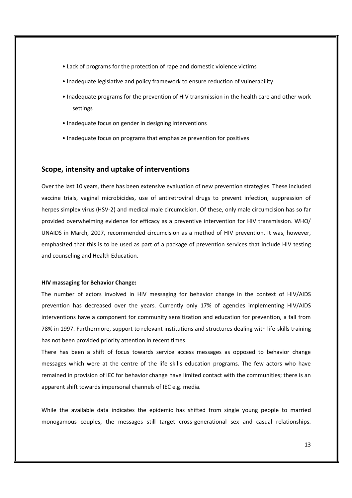- Lack of programs for the protection of rape and domestic violence victims
- Inadequate legislative and policy framework to ensure reduction of vulnerability
- Inadequate programs for the prevention of HIV transmission in the health care and other work settings
- Inadequate focus on gender in designing interventions
- Inadequate focus on programs that emphasize prevention for positives

#### **Scope, intensity and uptake of interventions**

Over the last 10 years, there has been extensive evaluation of new prevention strategies. These included vaccine trials, vaginal microbicides, use of antiretroviral drugs to prevent infection, suppression of herpes simplex virus (HSV-2) and medical male circumcision. Of these, only male circumcision has so far provided overwhelming evidence for efficacy as a preventive intervention for HIV transmission. WHO/ UNAIDS in March, 2007, recommended circumcision as a method of HIV prevention. It was, however, emphasized that this is to be used as part of a package of prevention services that include HIV testing and counseling and Health Education.

#### **HIV massaging for Behavior Change:**

The number of actors involved in HIV messaging for behavior change in the context of HIV/AIDS prevention has decreased over the years. Currently only 17% of agencies implementing HIV/AIDS interventions have a component for community sensitization and education for prevention, a fall from 78% in 1997. Furthermore, support to relevant institutions and structures dealing with life-skills training has not been provided priority attention in recent times.

There has been a shift of focus towards service access messages as opposed to behavior change messages which were at the centre of the life skills education programs. The few actors who have remained in provision of IEC for behavior change have limited contact with the communities; there is an apparent shift towards impersonal channels of IEC e.g. media.

While the available data indicates the epidemic has shifted from single young people to married monogamous couples, the messages still target cross-generational sex and casual relationships.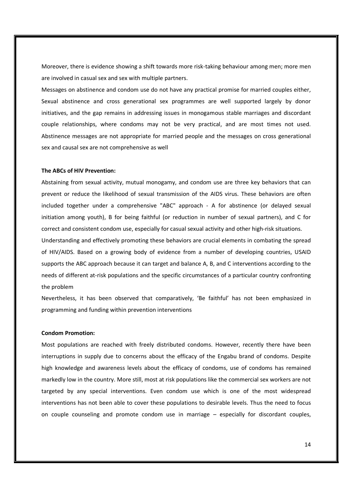Moreover, there is evidence showing a shift towards more risk-taking behaviour among men; more men are involved in casual sex and sex with multiple partners.

Messages on abstinence and condom use do not have any practical promise for married couples either, Sexual abstinence and cross generational sex programmes are well supported largely by donor initiatives, and the gap remains in addressing issues in monogamous stable marriages and discordant couple relationships, where condoms may not be very practical, and are most times not used. Abstinence messages are not appropriate for married people and the messages on cross generational sex and causal sex are not comprehensive as well

#### **The ABCs of HIV Prevention:**

Abstaining from sexual activity, mutual monogamy, and condom use are three key behaviors that can prevent or reduce the likelihood of sexual transmission of the AIDS virus. These behaviors are often included together under a comprehensive "ABC" approach - A for abstinence (or delayed sexual initiation among youth), B for being faithful (or reduction in number of sexual partners), and C for correct and consistent condom use, especially for casual sexual activity and other high-risk situations.

Understanding and effectively promoting these behaviors are crucial elements in combating the spread of HIV/AIDS. Based on a growing body of evidence from a number of developing countries, USAID supports the ABC approach because it can target and balance A, B, and C interventions according to the needs of different at-risk populations and the specific circumstances of a particular country confronting the problem

Nevertheless, it has been observed that comparatively, 'Be faithful' has not been emphasized in programming and funding within prevention interventions

#### **Condom Promotion:**

Most populations are reached with freely distributed condoms. However, recently there have been interruptions in supply due to concerns about the efficacy of the Engabu brand of condoms. Despite high knowledge and awareness levels about the efficacy of condoms, use of condoms has remained markedly low in the country. More still, most at risk populations like the commercial sex workers are not targeted by any special interventions. Even condom use which is one of the most widespread interventions has not been able to cover these populations to desirable levels. Thus the need to focus on couple counseling and promote condom use in marriage – especially for discordant couples,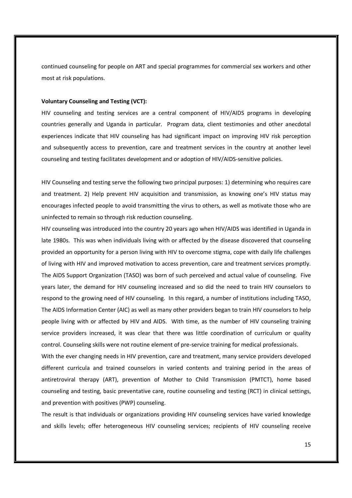continued counseling for people on ART and special programmes for commercial sex workers and other most at risk populations.

#### **Voluntary Counseling and Testing (VCT):**

HIV counseling and testing services are a central component of HIV/AIDS programs in developing countries generally and Uganda in particular. Program data, client testimonies and other anecdotal experiences indicate that HIV counseling has had significant impact on improving HIV risk perception and subsequently access to prevention, care and treatment services in the country at another level counseling and testing facilitates development and or adoption of HIV/AIDS-sensitive policies.

HIV Counseling and testing serve the following two principal purposes: 1) determining who requires care and treatment. 2) Help prevent HIV acquisition and transmission, as knowing one's HIV status may encourages infected people to avoid transmitting the virus to others, as well as motivate those who are uninfected to remain so through risk reduction counseling.

HIV counseling was introduced into the country 20 years ago when HIV/AIDS was identified in Uganda in late 1980s. This was when individuals living with or affected by the disease discovered that counseling provided an opportunity for a person living with HIV to overcome stigma, cope with daily life challenges of living with HIV and improved motivation to access prevention, care and treatment services promptly. The AIDS Support Organization (TASO) was born of such perceived and actual value of counseling. Five years later, the demand for HIV counseling increased and so did the need to train HIV counselors to respond to the growing need of HIV counseling. In this regard, a number of institutions including TASO, The AIDS Information Center (AIC) as well as many other providers began to train HIV counselors to help people living with or affected by HIV and AIDS. With time, as the number of HIV counseling training service providers increased, it was clear that there was little coordination of curriculum or quality control. Counseling skills were not routine element of pre-service training for medical professionals.

With the ever changing needs in HIV prevention, care and treatment, many service providers developed different curricula and trained counselors in varied contents and training period in the areas of antiretroviral therapy (ART), prevention of Mother to Child Transmission (PMTCT), home based counseling and testing, basic preventative care, routine counseling and testing (RCT) in clinical settings, and prevention with positives (PWP) counseling.

The result is that individuals or organizations providing HIV counseling services have varied knowledge and skills levels; offer heterogeneous HIV counseling services; recipients of HIV counseling receive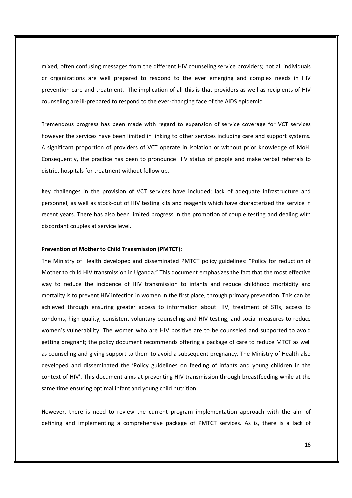mixed, often confusing messages from the different HIV counseling service providers; not all individuals or organizations are well prepared to respond to the ever emerging and complex needs in HIV prevention care and treatment. The implication of all this is that providers as well as recipients of HIV counseling are ill-prepared to respond to the ever-changing face of the AIDS epidemic.

Tremendous progress has been made with regard to expansion of service coverage for VCT services however the services have been limited in linking to other services including care and support systems. A significant proportion of providers of VCT operate in isolation or without prior knowledge of MoH. Consequently, the practice has been to pronounce HIV status of people and make verbal referrals to district hospitals for treatment without follow up.

Key challenges in the provision of VCT services have included; lack of adequate infrastructure and personnel, as well as stock-out of HIV testing kits and reagents which have characterized the service in recent years. There has also been limited progress in the promotion of couple testing and dealing with discordant couples at service level.

#### **Prevention of Mother to Child Transmission (PMTCT):**

The Ministry of Health developed and disseminated PMTCT policy guidelines: "Policy for reduction of Mother to child HIV transmission in Uganda." This document emphasizes the fact that the most effective way to reduce the incidence of HIV transmission to infants and reduce childhood morbidity and mortality is to prevent HIV infection in women in the first place, through primary prevention. This can be achieved through ensuring greater access to information about HIV, treatment of STIs, access to condoms, high quality, consistent voluntary counseling and HIV testing; and social measures to reduce women's vulnerability. The women who are HIV positive are to be counseled and supported to avoid getting pregnant; the policy document recommends offering a package of care to reduce MTCT as well as counseling and giving support to them to avoid a subsequent pregnancy. The Ministry of Health also developed and disseminated the 'Policy guidelines on feeding of infants and young children in the context of HIV'. This document aims at preventing HIV transmission through breastfeeding while at the same time ensuring optimal infant and young child nutrition

However, there is need to review the current program implementation approach with the aim of defining and implementing a comprehensive package of PMTCT services. As is, there is a lack of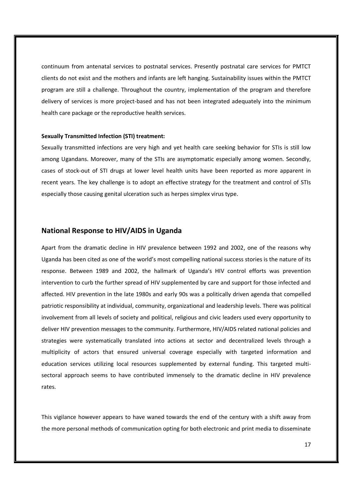continuum from antenatal services to postnatal services. Presently postnatal care services for PMTCT clients do not exist and the mothers and infants are left hanging. Sustainability issues within the PMTCT program are still a challenge. Throughout the country, implementation of the program and therefore delivery of services is more project-based and has not been integrated adequately into the minimum health care package or the reproductive health services.

#### **Sexually Transmitted Infection (STI) treatment:**

Sexually transmitted infections are very high and yet health care seeking behavior for STIs is still low among Ugandans. Moreover, many of the STIs are asymptomatic especially among women. Secondly, cases of stock-out of STI drugs at lower level health units have been reported as more apparent in recent years. The key challenge is to adopt an effective strategy for the treatment and control of STIs especially those causing genital ulceration such as herpes simplex virus type.

### **National Response to HIV/AIDS in Uganda**

Apart from the dramatic decline in HIV prevalence between 1992 and 2002, one of the reasons why Uganda has been cited as one of the world's most compelling national success stories is the nature of its response. Between 1989 and 2002, the hallmark of Uganda's HIV control efforts was prevention intervention to curb the further spread of HIV supplemented by care and support for those infected and affected. HIV prevention in the late 1980s and early 90s was a politically driven agenda that compelled patriotic responsibility at individual, community, organizational and leadership levels. There was political involvement from all levels of society and political, religious and civic leaders used every opportunity to deliver HIV prevention messages to the community. Furthermore, HIV/AIDS related national policies and strategies were systematically translated into actions at sector and decentralized levels through a multiplicity of actors that ensured universal coverage especially with targeted information and education services utilizing local resources supplemented by external funding. This targeted multisectoral approach seems to have contributed immensely to the dramatic decline in HIV prevalence rates.

This vigilance however appears to have waned towards the end of the century with a shift away from the more personal methods of communication opting for both electronic and print media to disseminate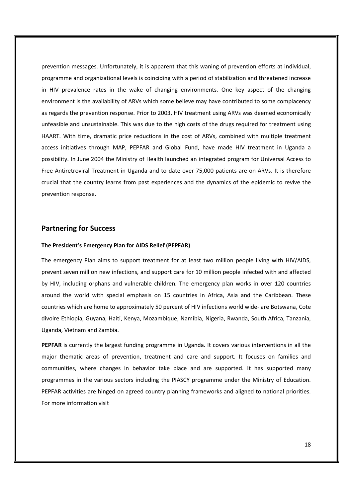prevention messages. Unfortunately, it is apparent that this waning of prevention efforts at individual, programme and organizational levels is coinciding with a period of stabilization and threatened increase in HIV prevalence rates in the wake of changing environments. One key aspect of the changing environment is the availability of ARVs which some believe may have contributed to some complacency as regards the prevention response. Prior to 2003, HIV treatment using ARVs was deemed economically unfeasible and unsustainable. This was due to the high costs of the drugs required for treatment using HAART. With time, dramatic price reductions in the cost of ARVs, combined with multiple treatment access initiatives through MAP, PEPFAR and Global Fund, have made HIV treatment in Uganda a possibility. In June 2004 the Ministry of Health launched an integrated program for Universal Access to Free Antiretroviral Treatment in Uganda and to date over 75,000 patients are on ARVs. It is therefore crucial that the country learns from past experiences and the dynamics of the epidemic to revive the prevention response.

#### **Partnering for Success**

#### **The President's Emergency Plan for AIDS Relief (PEPFAR)**

The emergency Plan aims to support treatment for at least two million people living with HIV/AIDS, prevent seven million new infections, and support care for 10 million people infected with and affected by HIV, including orphans and vulnerable children. The emergency plan works in over 120 countries around the world with special emphasis on 15 countries in Africa, Asia and the Caribbean. These countries which are home to approximately 50 percent of HIV infections world wide- are Botswana, Cote divoire Ethiopia, Guyana, Haiti, Kenya, Mozambique, Namibia, Nigeria, Rwanda, South Africa, Tanzania, Uganda, Vietnam and Zambia.

**PEPFAR** is currently the largest funding programme in Uganda. It covers various interventions in all the major thematic areas of prevention, treatment and care and support. It focuses on families and communities, where changes in behavior take place and are supported. It has supported many programmes in the various sectors including the PIASCY programme under the Ministry of Education. PEPFAR activities are hinged on agreed country planning frameworks and aligned to national priorities. For more information visit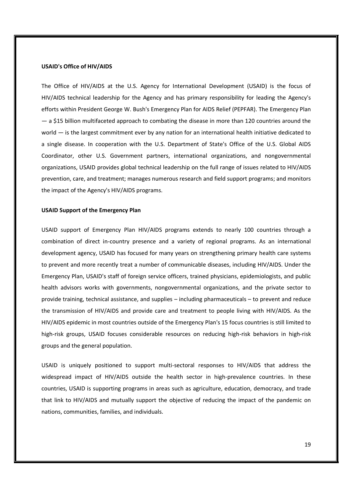#### **USAID's Office of HIV/AIDS**

The Office of HIV/AIDS at the U.S. Agency for International Development (USAID) is the focus of HIV/AIDS technical leadership for the Agency and has primary responsibility for leading the Agency's efforts within President George W. Bush's Emergency Plan for AIDS Relief (PEPFAR). The Emergency Plan — a \$15 billion multifaceted approach to combating the disease in more than 120 countries around the world — is the largest commitment ever by any nation for an international health initiative dedicated to a single disease. In cooperation with the U.S. Department of State's Office of the U.S. Global AIDS Coordinator, other U.S. Government partners, international organizations, and nongovernmental organizations, USAID provides global technical leadership on the full range of issues related to HIV/AIDS prevention, care, and treatment; manages numerous research and field support programs; and monitors the impact of the Agency's HIV/AIDS programs.

#### **USAID Support of the Emergency Plan**

USAID support of Emergency Plan HIV/AIDS programs extends to nearly 100 countries through a combination of direct in-country presence and a variety of regional programs. As an international development agency, USAID has focused for many years on strengthening primary health care systems to prevent and more recently treat a number of communicable diseases, including HIV/AIDS. Under the Emergency Plan, USAID's staff of foreign service officers, trained physicians, epidemiologists, and public health advisors works with governments, nongovernmental organizations, and the private sector to provide training, technical assistance, and supplies – including pharmaceuticals – to prevent and reduce the transmission of HIV/AIDS and provide care and treatment to people living with HIV/AIDS. As the HIV/AIDS epidemic in most countries outside of the Emergency Plan's 15 focus countries is still limited to high-risk groups, USAID focuses considerable resources on reducing high-risk behaviors in high-risk groups and the general population.

USAID is uniquely positioned to support multi-sectoral responses to HIV/AIDS that address the widespread impact of HIV/AIDS outside the health sector in high-prevalence countries. In these countries, USAID is supporting programs in areas such as agriculture, education, democracy, and trade that link to HIV/AIDS and mutually support the objective of reducing the impact of the pandemic on nations, communities, families, and individuals.